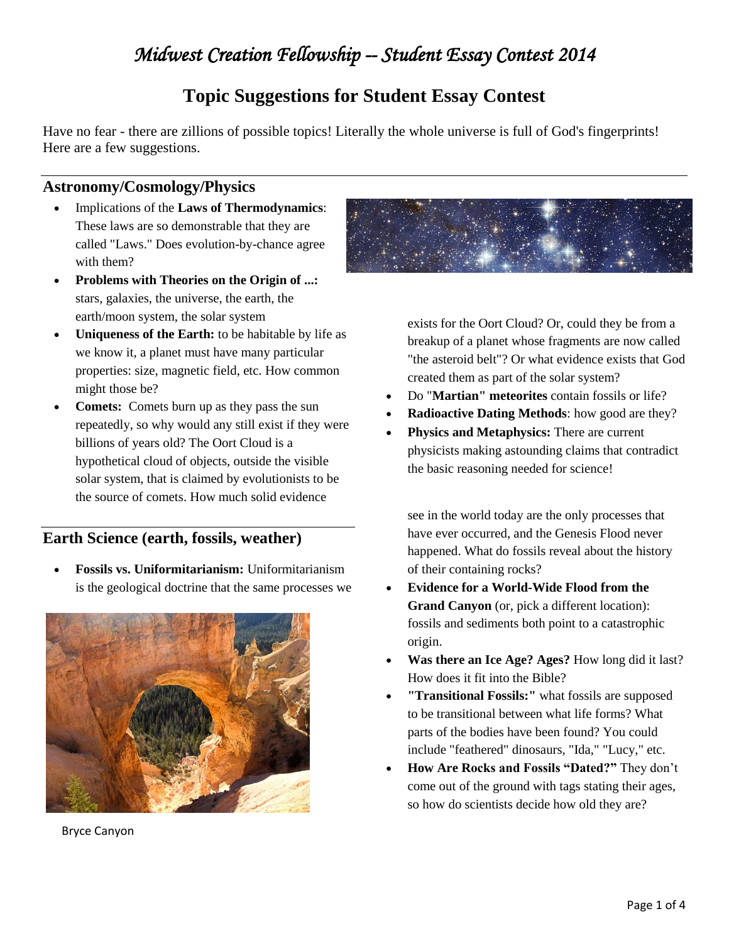## *Midwest Creation Fellowship -- Student Essay Contest 2014*

## **Topic Suggestions for Student Essay Contest**

Have no fear - there are zillions of possible topics! Literally the whole universe is full of God's fingerprints! Here are a few suggestions.

#### **Astronomy/Cosmology/Physics**

- Implications of the **Laws of Thermodynamics**: These laws are so demonstrable that they are called "Laws." Does evolution-by-chance agree with them?
- **Problems with Theories on the Origin of ...:** stars, galaxies, the universe, the earth, the earth/moon system, the solar system
- **Uniqueness of the Earth:** to be habitable by life as we know it, a planet must have many particular properties: size, magnetic field, etc. How common might those be?
- **Comets:** Comets burn up as they pass the sun repeatedly, so why would any still exist if they were billions of years old? The Oort Cloud is a hypothetical cloud of objects, outside the visible solar system, that is claimed by evolutionists to be the source of comets. How much solid evidence

## **Earth Science (earth, fossils, weather)**

 **Fossils vs. Uniformitarianism:** Uniformitarianism is the geological doctrine that the same processes we



Bryce Canyon



exists for the Oort Cloud? Or, could they be from a breakup of a planet whose fragments are now called "the asteroid belt"? Or what evidence exists that God created them as part of the solar system?

- Do "**Martian" meteorites** contain fossils or life?
- **Radioactive Dating Methods**: how good are they?
- **Physics and Metaphysics:** There are current physicists making astounding claims that contradict the basic reasoning needed for science!

see in the world today are the only processes that have ever occurred, and the Genesis Flood never happened. What do fossils reveal about the history of their containing rocks?

- **Evidence for a World-Wide Flood from the Grand Canyon** (or, pick a different location): fossils and sediments both point to a catastrophic origin.
- **Was there an Ice Age? Ages?** How long did it last? How does it fit into the Bible?
- **"Transitional Fossils:"** what fossils are supposed to be transitional between what life forms? What parts of the bodies have been found? You could include "feathered" dinosaurs, "Ida," "Lucy," etc.
- **How Are Rocks and Fossils "Dated?"** They don't come out of the ground with tags stating their ages, so how do scientists decide how old they are?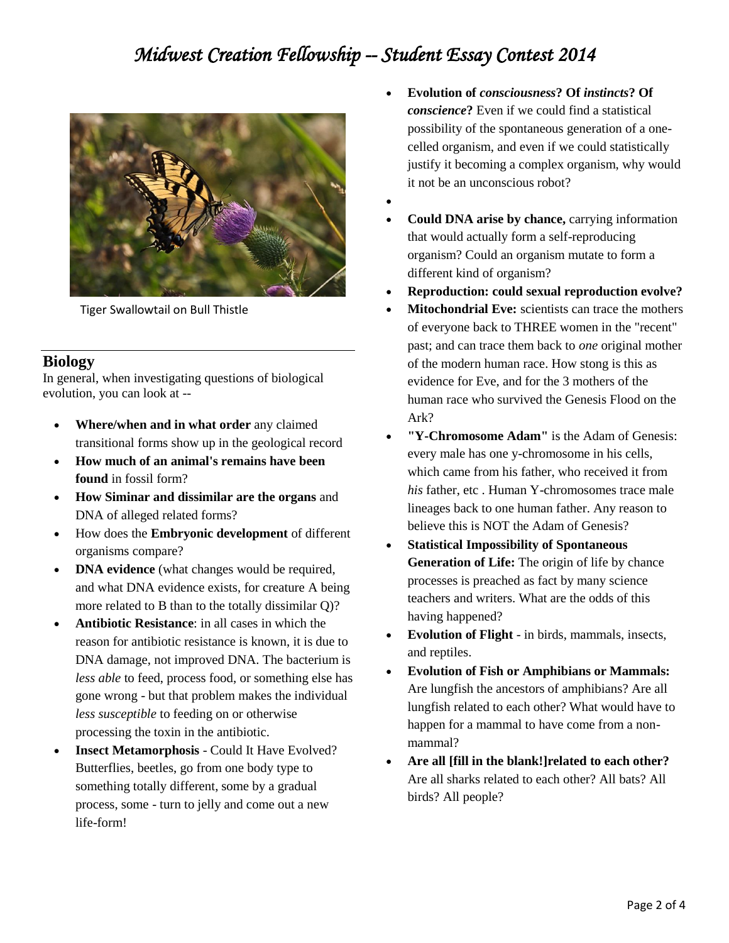# *Midwest Creation Fellowship -- Student Essay Contest 2014*



Tiger Swallowtail on Bull Thistle

### **Biology**

In general, when investigating questions of biological evolution, you can look at --

- **Where/when and in what order** any claimed transitional forms show up in the geological record
- **How much of an animal's remains have been found** in fossil form?
- **How Siminar and dissimilar are the organs** and DNA of alleged related forms?
- How does the **Embryonic development** of different organisms compare?
- **DNA evidence** (what changes would be required, and what DNA evidence exists, for creature A being more related to B than to the totally dissimilar Q)?
- **Antibiotic Resistance**: in all cases in which the reason for antibiotic resistance is known, it is due to DNA damage, not improved DNA. The bacterium is *less able* to feed, process food, or something else has gone wrong - but that problem makes the individual *less susceptible* to feeding on or otherwise processing the toxin in the antibiotic.
- **Insect Metamorphosis** Could It Have Evolved? Butterflies, beetles, go from one body type to something totally different, some by a gradual process, some - turn to jelly and come out a new life-form!
- **Evolution of** *consciousness***? Of** *instincts***? Of**  *conscience***?** Even if we could find a statistical possibility of the spontaneous generation of a onecelled organism, and even if we could statistically justify it becoming a complex organism, why would it not be an unconscious robot?
- $\bullet$
- **Could DNA arise by chance,** carrying information that would actually form a self-reproducing organism? Could an organism mutate to form a different kind of organism?
- **Reproduction: could sexual reproduction evolve?**
- **Mitochondrial Eve:** scientists can trace the mothers of everyone back to THREE women in the "recent" past; and can trace them back to *one* original mother of the modern human race. How stong is this as evidence for Eve, and for the 3 mothers of the human race who survived the Genesis Flood on the Ark?
- **"Y-Chromosome Adam"** is the Adam of Genesis: every male has one y-chromosome in his cells, which came from his father, who received it from *his* father, etc . Human Y-chromosomes trace male lineages back to one human father. Any reason to believe this is NOT the Adam of Genesis?
- **Statistical Impossibility of Spontaneous Generation of Life:** The origin of life by chance processes is preached as fact by many science teachers and writers. What are the odds of this having happened?
- **Evolution of Flight**  in birds, mammals, insects, and reptiles.
- **Evolution of Fish or Amphibians or Mammals:** Are lungfish the ancestors of amphibians? Are all lungfish related to each other? What would have to happen for a mammal to have come from a nonmammal?
- **Are all [fill in the blank!]related to each other?** Are all sharks related to each other? All bats? All birds? All people?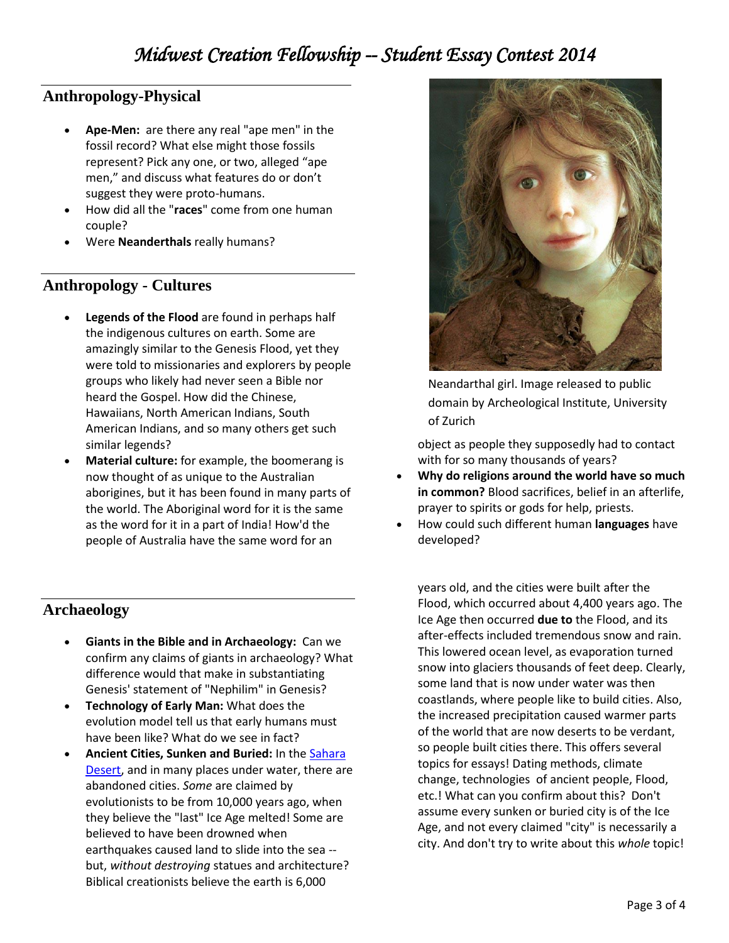## **Anthropology-Physical**

- **Ape-Men:** are there any real "ape men" in the fossil record? What else might those fossils represent? Pick any one, or two, alleged "ape men," and discuss what features do or don't suggest they were proto-humans.
- How did all the "**races**" come from one human couple?
- Were **Neanderthals** really humans?

### **Anthropology - Cultures**

- **Legends of the Flood** are found in perhaps half the indigenous cultures on earth. Some are amazingly similar to the Genesis Flood, yet they were told to missionaries and explorers by people groups who likely had never seen a Bible nor heard the Gospel. How did the Chinese, Hawaiians, North American Indians, South American Indians, and so many others get such similar legends?
- **Material culture:** for example, the boomerang is now thought of as unique to the Australian aborigines, but it has been found in many parts of the world. The Aboriginal word for it is the same as the word for it in a part of India! How'd the people of Australia have the same word for an

## **Archaeology**

- **Giants in the Bible and in Archaeology:** Can we confirm any claims of giants in archaeology? What difference would that make in substantiating Genesis' statement of "Nephilim" in Genesis?
- **Technology of Early Man:** What does the evolution model tell us that early humans must have been like? What do we see in fact?
- **Ancient Cities, Sunken and Buried:** In the [Sahara](http://abcnews.go.com/Technology/story?id=5593387)  [Desert,](http://abcnews.go.com/Technology/story?id=5593387) and in many places under water, there are abandoned cities. *Some* are claimed by evolutionists to be from 10,000 years ago, when they believe the "last" Ice Age melted! Some are believed to have been drowned when earthquakes caused land to slide into the sea - but, *without destroying* statues and architecture? Biblical creationists believe the earth is 6,000



Neandarthal girl. Image released to public domain by Archeological Institute, University of Zurich

object as people they supposedly had to contact with for so many thousands of years?

- **Why do religions around the world have so much in common?** Blood sacrifices, belief in an afterlife, prayer to spirits or gods for help, priests.
- How could such different human **languages** have developed?

years old, and the cities were built after the Flood, which occurred about 4,400 years ago. The Ice Age then occurred **due to** the Flood, and its after-effects included tremendous snow and rain. This lowered ocean level, as evaporation turned snow into glaciers thousands of feet deep. Clearly, some land that is now under water was then coastlands, where people like to build cities. Also, the increased precipitation caused warmer parts of the world that are now deserts to be verdant, so people built cities there. This offers several topics for essays! Dating methods, climate change, technologies of ancient people, Flood, etc.! What can you confirm about this? Don't assume every sunken or buried city is of the Ice Age, and not every claimed "city" is necessarily a city. And don't try to write about this *whole* topic!